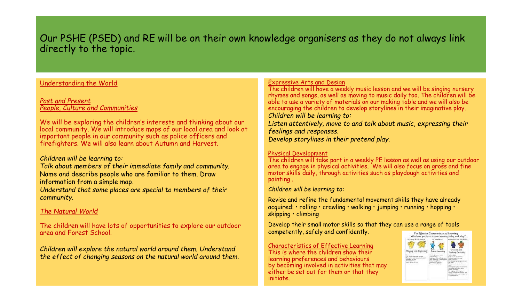# Our PSHE (PSED) and RE will be on their own knowledge organisers as they do not always link directly to the topic.

## Understanding the World

### *Past and Present People, Culture and Communities*

We will be exploring the children's interests and thinking about our local community. We will introduce maps of our local area and look at important people in our community such as police officers and firefighters. We will also learn about Autumn and Harvest.

*Children will be learning to: Talk about members of their immediate family and community.*  Name and describe people who are familiar to them. Draw information from a simple map. *Understand that some places are special to members of their community.*

### *The Natural World*

The children will have lots of opportunities to explore our outdoor area and Forest School.

*Children will explore the natural world around them. Understand the effect of changing seasons on the natural world around them.*

### Expressive Arts and Design

The children will have a weekly music lesson and we will be singing nursery rhymes and songs, as well as moving to music daily too. The children will be able to use a variety of materials on our making table and we will also be encouraging the children to develop storylines in their imaginative play. *Children will be learning to:*

*Listen attentively, move to and talk about music, expressing their feelings and responses.*

*Develop storylines in their pretend play.*

### Physical Development

The children will take part in a weekly PE lesson as well as using our outdoor area to engage in physical activities. We will also focus on gross and fine motor skills daily, through activities such as playdough activities and painting .

*Children will be learning to:*

Revise and refine the fundamental movement skills they have already acquired: • rolling • crawling • walking • jumping • running • hopping • skipping • climbing

Develop their small motor skills so that they can use a range of tools competently, safely and confidently. The Effective Characteristics of Learning

#### Characteristics of Effective Learning This is where the children show their learning preferences and behaviours

by becoming involved in activities that may either be set out for them or that they initiate.